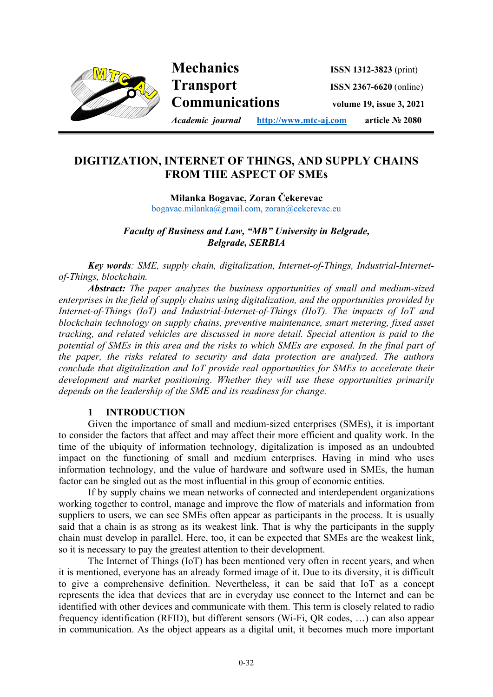

# **DIGITIZATION, INTERNET OF THINGS, AND SUPPLY CHAINS FROM THE ASPECT OF SMEs**

**i**

**Milanka Bogavac, Zoran Čekerevac**  bogavac.milanka@gmail.com, zoran@cekerevac.eu

*Faculty of Business and Law, "MB" University in Belgrade, Belgrade, SERBIA* 

*Key words: SME, supply chain, digitalization, Internet-of-Things, Industrial-Internetof-Things, blockchain.* 

*Abstract: The paper analyzes the business opportunities of small and medium-sized enterprises in the field of supply chains using digitalization, and the opportunities provided by Internet-of-Things (IoT) and Industrial-Internet-of-Things (IIoT). The impacts of IoT and blockchain technology on supply chains, preventive maintenance, smart metering, fixed asset tracking, and related vehicles are discussed in more detail. Special attention is paid to the potential of SMEs in this area and the risks to which SMEs are exposed. In the final part of the paper, the risks related to security and data protection are analyzed. The authors conclude that digitalization and IoT provide real opportunities for SMEs to accelerate their development and market positioning. Whether they will use these opportunities primarily depends on the leadership of the SME and its readiness for change.*

#### **1 INTRODUCTION**

Given the importance of small and medium-sized enterprises (SMEs), it is important to consider the factors that affect and may affect their more efficient and quality work. In the time of the ubiquity of information technology, digitalization is imposed as an undoubted impact on the functioning of small and medium enterprises. Having in mind who uses information technology, and the value of hardware and software used in SMEs, the human factor can be singled out as the most influential in this group of economic entities.

If by supply chains we mean networks of connected and interdependent organizations working together to control, manage and improve the flow of materials and information from suppliers to users, we can see SMEs often appear as participants in the process. It is usually said that a chain is as strong as its weakest link. That is why the participants in the supply chain must develop in parallel. Here, too, it can be expected that SMEs are the weakest link, so it is necessary to pay the greatest attention to their development.

The Internet of Things (IoT) has been mentioned very often in recent years, and when it is mentioned, everyone has an already formed image of it. Due to its diversity, it is difficult to give a comprehensive definition. Nevertheless, it can be said that IoT as a concept represents the idea that devices that are in everyday use connect to the Internet and can be identified with other devices and communicate with them. This term is closely related to radio frequency identification (RFID), but different sensors (Wi-Fi, QR codes, …) can also appear in communication. As the object appears as a digital unit, it becomes much more important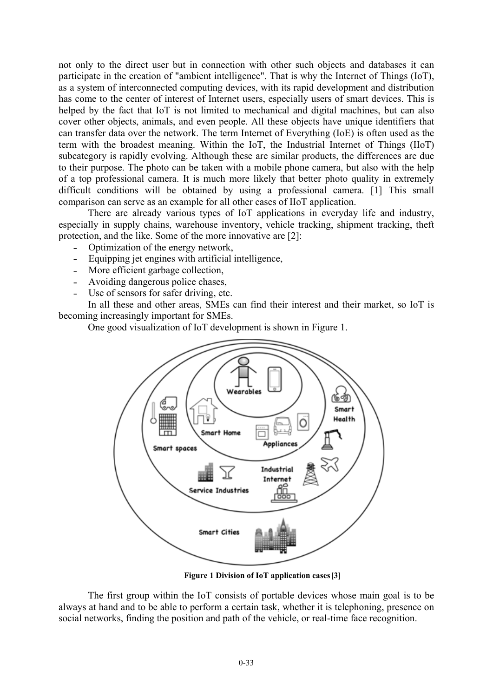not only to the direct user but in connection with other such objects and databases it can participate in the creation of "ambient intelligence". That is why the Internet of Things (IoT), as a system of interconnected computing devices, with its rapid development and distribution has come to the center of interest of Internet users, especially users of smart devices. This is helped by the fact that IoT is not limited to mechanical and digital machines, but can also cover other objects, animals, and even people. All these objects have unique identifiers that can transfer data over the network. The term Internet of Everything (IoE) is often used as the term with the broadest meaning. Within the IoT, the Industrial Internet of Things (IIoT) subcategory is rapidly evolving. Although these are similar products, the differences are due to their purpose. The photo can be taken with a mobile phone camera, but also with the help of a top professional camera. It is much more likely that better photo quality in extremely difficult conditions will be obtained by using a professional camera. [1] This small comparison can serve as an example for all other cases of IIoT application.

There are already various types of IoT applications in everyday life and industry, especially in supply chains, warehouse inventory, vehicle tracking, shipment tracking, theft protection, and the like. Some of the more innovative are [2]:

- Optimization of the energy network,
- Equipping jet engines with artificial intelligence,
- More efficient garbage collection,
- Avoiding dangerous police chases,
- Use of sensors for safer driving, etc.

In all these and other areas, SMEs can find their interest and their market, so IoT is becoming increasingly important for SMEs.

One good visualization of IoT development is shown in Figure 1.



**Figure 1 Division of IoT application cases [3]** 

The first group within the IoT consists of portable devices whose main goal is to be always at hand and to be able to perform a certain task, whether it is telephoning, presence on social networks, finding the position and path of the vehicle, or real-time face recognition.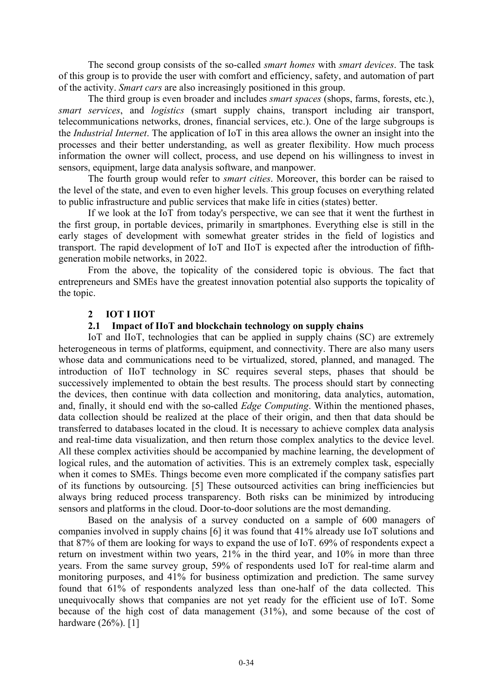The second group consists of the so-called *smart homes* with *smart devices*. The task of this group is to provide the user with comfort and efficiency, safety, and automation of part of the activity. *Smart cars* are also increasingly positioned in this group.

The third group is even broader and includes *smart spaces* (shops, farms, forests, etc.), *smart services*, and *logistics* (smart supply chains, transport including air transport, telecommunications networks, drones, financial services, etc.). One of the large subgroups is the *Industrial Internet*. The application of IoT in this area allows the owner an insight into the processes and their better understanding, as well as greater flexibility. How much process information the owner will collect, process, and use depend on his willingness to invest in sensors, equipment, large data analysis software, and manpower.

The fourth group would refer to *smart cities*. Moreover, this border can be raised to the level of the state, and even to even higher levels. This group focuses on everything related to public infrastructure and public services that make life in cities (states) better.

If we look at the IoT from today's perspective, we can see that it went the furthest in the first group, in portable devices, primarily in smartphones. Everything else is still in the early stages of development with somewhat greater strides in the field of logistics and transport. The rapid development of IoT and IIoT is expected after the introduction of fifthgeneration mobile networks, in 2022.

From the above, the topicality of the considered topic is obvious. The fact that entrepreneurs and SMEs have the greatest innovation potential also supports the topicality of the topic.

#### **2 IOT I IIOT**

#### **2.1 Impact of IIoT and blockchain technology on supply chains**

IoT and IIoT, technologies that can be applied in supply chains (SC) are extremely heterogeneous in terms of platforms, equipment, and connectivity. There are also many users whose data and communications need to be virtualized, stored, planned, and managed. The introduction of IIoT technology in SC requires several steps, phases that should be successively implemented to obtain the best results. The process should start by connecting the devices, then continue with data collection and monitoring, data analytics, automation, and, finally, it should end with the so-called *Edge Computing*. Within the mentioned phases, data collection should be realized at the place of their origin, and then that data should be transferred to databases located in the cloud. It is necessary to achieve complex data analysis and real-time data visualization, and then return those complex analytics to the device level. All these complex activities should be accompanied by machine learning, the development of logical rules, and the automation of activities. This is an extremely complex task, especially when it comes to SMEs. Things become even more complicated if the company satisfies part of its functions by outsourcing. [5] These outsourced activities can bring inefficiencies but always bring reduced process transparency. Both risks can be minimized by introducing sensors and platforms in the cloud. Door-to-door solutions are the most demanding.

Based on the analysis of a survey conducted on a sample of 600 managers of companies involved in supply chains [6] it was found that 41% already use IoT solutions and that 87% of them are looking for ways to expand the use of IoT. 69% of respondents expect a return on investment within two years, 21% in the third year, and 10% in more than three years. From the same survey group, 59% of respondents used IoT for real-time alarm and monitoring purposes, and 41% for business optimization and prediction. The same survey found that 61% of respondents analyzed less than one-half of the data collected. This unequivocally shows that companies are not yet ready for the efficient use of IoT. Some because of the high cost of data management (31%), and some because of the cost of hardware (26%). [1]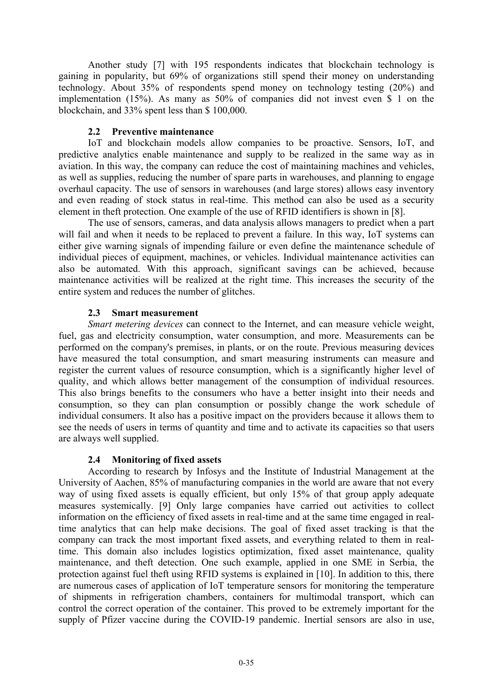Another study [7] with 195 respondents indicates that blockchain technology is gaining in popularity, but 69% of organizations still spend their money on understanding technology. About 35% of respondents spend money on technology testing (20%) and implementation (15%). As many as 50% of companies did not invest even \$ 1 on the blockchain, and 33% spent less than \$ 100,000.

#### **2.2 Preventive maintenance**

IoT and blockchain models allow companies to be proactive. Sensors, IoT, and predictive analytics enable maintenance and supply to be realized in the same way as in aviation. In this way, the company can reduce the cost of maintaining machines and vehicles, as well as supplies, reducing the number of spare parts in warehouses, and planning to engage overhaul capacity. The use of sensors in warehouses (and large stores) allows easy inventory and even reading of stock status in real-time. This method can also be used as a security element in theft protection. One example of the use of RFID identifiers is shown in [8].

The use of sensors, cameras, and data analysis allows managers to predict when a part will fail and when it needs to be replaced to prevent a failure. In this way, IoT systems can either give warning signals of impending failure or even define the maintenance schedule of individual pieces of equipment, machines, or vehicles. Individual maintenance activities can also be automated. With this approach, significant savings can be achieved, because maintenance activities will be realized at the right time. This increases the security of the entire system and reduces the number of glitches.

## **2.3 Smart measurement**

*Smart metering devices* can connect to the Internet, and can measure vehicle weight, fuel, gas and electricity consumption, water consumption, and more. Measurements can be performed on the company's premises, in plants, or on the route. Previous measuring devices have measured the total consumption, and smart measuring instruments can measure and register the current values of resource consumption, which is a significantly higher level of quality, and which allows better management of the consumption of individual resources. This also brings benefits to the consumers who have a better insight into their needs and consumption, so they can plan consumption or possibly change the work schedule of individual consumers. It also has a positive impact on the providers because it allows them to see the needs of users in terms of quantity and time and to activate its capacities so that users are always well supplied.

## **2.4 Monitoring of fixed assets**

According to research by Infosys and the Institute of Industrial Management at the University of Aachen, 85% of manufacturing companies in the world are aware that not every way of using fixed assets is equally efficient, but only 15% of that group apply adequate measures systemically. [9] Only large companies have carried out activities to collect information on the efficiency of fixed assets in real-time and at the same time engaged in realtime analytics that can help make decisions. The goal of fixed asset tracking is that the company can track the most important fixed assets, and everything related to them in realtime. This domain also includes logistics optimization, fixed asset maintenance, quality maintenance, and theft detection. One such example, applied in one SME in Serbia, the protection against fuel theft using RFID systems is explained in [10]. In addition to this, there are numerous cases of application of IoT temperature sensors for monitoring the temperature of shipments in refrigeration chambers, containers for multimodal transport, which can control the correct operation of the container. This proved to be extremely important for the supply of Pfizer vaccine during the COVID-19 pandemic. Inertial sensors are also in use,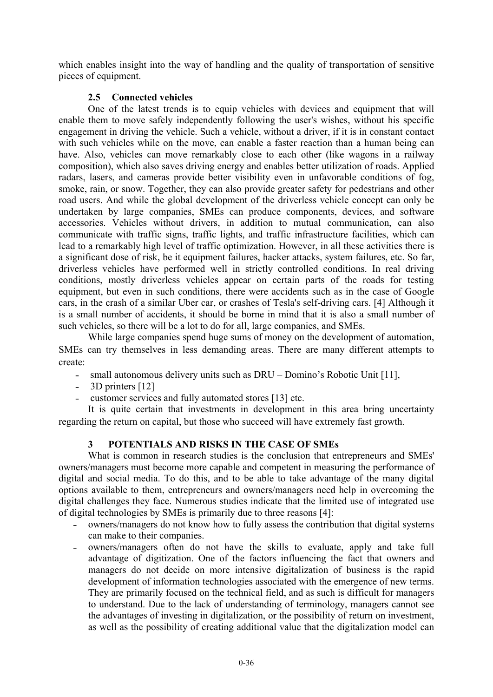which enables insight into the way of handling and the quality of transportation of sensitive pieces of equipment.

# **2.5 Connected vehicles**

One of the latest trends is to equip vehicles with devices and equipment that will enable them to move safely independently following the user's wishes, without his specific engagement in driving the vehicle. Such a vehicle, without a driver, if it is in constant contact with such vehicles while on the move, can enable a faster reaction than a human being can have. Also, vehicles can move remarkably close to each other (like wagons in a railway composition), which also saves driving energy and enables better utilization of roads. Applied radars, lasers, and cameras provide better visibility even in unfavorable conditions of fog, smoke, rain, or snow. Together, they can also provide greater safety for pedestrians and other road users. And while the global development of the driverless vehicle concept can only be undertaken by large companies, SMEs can produce components, devices, and software accessories. Vehicles without drivers, in addition to mutual communication, can also communicate with traffic signs, traffic lights, and traffic infrastructure facilities, which can lead to a remarkably high level of traffic optimization. However, in all these activities there is a significant dose of risk, be it equipment failures, hacker attacks, system failures, etc. So far, driverless vehicles have performed well in strictly controlled conditions. In real driving conditions, mostly driverless vehicles appear on certain parts of the roads for testing equipment, but even in such conditions, there were accidents such as in the case of Google cars, in the crash of a similar Uber car, or crashes of Tesla's self-driving cars. [4] Although it is a small number of accidents, it should be borne in mind that it is also a small number of such vehicles, so there will be a lot to do for all, large companies, and SMEs.

While large companies spend huge sums of money on the development of automation, SMEs can try themselves in less demanding areas. There are many different attempts to create:

- small autonomous delivery units such as DRU Domino's Robotic Unit [11],
- 3D printers [12]
- customer services and fully automated stores [13] etc.

It is quite certain that investments in development in this area bring uncertainty regarding the return on capital, but those who succeed will have extremely fast growth.

## **3 POTENTIALS AND RISKS IN THE CASE OF SMEs**

What is common in research studies is the conclusion that entrepreneurs and SMEs' owners/managers must become more capable and competent in measuring the performance of digital and social media. To do this, and to be able to take advantage of the many digital options available to them, entrepreneurs and owners/managers need help in overcoming the digital challenges they face. Numerous studies indicate that the limited use of integrated use of digital technologies by SMEs is primarily due to three reasons [4]:

- ˗ owners/managers do not know how to fully assess the contribution that digital systems can make to their companies.
- owners/managers often do not have the skills to evaluate, apply and take full advantage of digitization. One of the factors influencing the fact that owners and managers do not decide on more intensive digitalization of business is the rapid development of information technologies associated with the emergence of new terms. They are primarily focused on the technical field, and as such is difficult for managers to understand. Due to the lack of understanding of terminology, managers cannot see the advantages of investing in digitalization, or the possibility of return on investment, as well as the possibility of creating additional value that the digitalization model can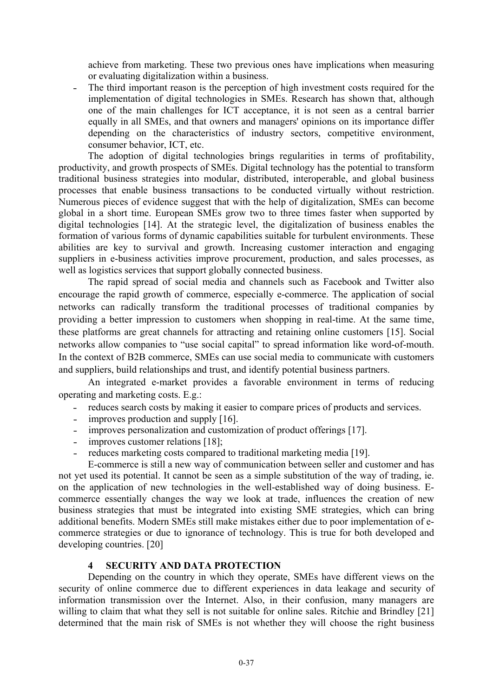achieve from marketing. These two previous ones have implications when measuring or evaluating digitalization within a business.

- The third important reason is the perception of high investment costs required for the implementation of digital technologies in SMEs. Research has shown that, although one of the main challenges for ICT acceptance, it is not seen as a central barrier equally in all SMEs, and that owners and managers' opinions on its importance differ depending on the characteristics of industry sectors, competitive environment, consumer behavior, ICT, etc.

The adoption of digital technologies brings regularities in terms of profitability, productivity, and growth prospects of SMEs. Digital technology has the potential to transform traditional business strategies into modular, distributed, interoperable, and global business processes that enable business transactions to be conducted virtually without restriction. Numerous pieces of evidence suggest that with the help of digitalization, SMEs can become global in a short time. European SMEs grow two to three times faster when supported by digital technologies [14]. At the strategic level, the digitalization of business enables the formation of various forms of dynamic capabilities suitable for turbulent environments. These abilities are key to survival and growth. Increasing customer interaction and engaging suppliers in e-business activities improve procurement, production, and sales processes, as well as logistics services that support globally connected business.

The rapid spread of social media and channels such as Facebook and Twitter also encourage the rapid growth of commerce, especially e-commerce. The application of social networks can radically transform the traditional processes of traditional companies by providing a better impression to customers when shopping in real-time. At the same time, these platforms are great channels for attracting and retaining online customers [15]. Social networks allow companies to "use social capital" to spread information like word-of-mouth. In the context of B2B commerce, SMEs can use social media to communicate with customers and suppliers, build relationships and trust, and identify potential business partners.

An integrated e-market provides a favorable environment in terms of reducing operating and marketing costs. E.g.:

- reduces search costs by making it easier to compare prices of products and services.
- improves production and supply [16].
- improves personalization and customization of product offerings [17].
- improves customer relations [18];
- reduces marketing costs compared to traditional marketing media [19].

E-commerce is still a new way of communication between seller and customer and has not yet used its potential. It cannot be seen as a simple substitution of the way of trading, ie. on the application of new technologies in the well-established way of doing business. Ecommerce essentially changes the way we look at trade, influences the creation of new business strategies that must be integrated into existing SME strategies, which can bring additional benefits. Modern SMEs still make mistakes either due to poor implementation of ecommerce strategies or due to ignorance of technology. This is true for both developed and developing countries. [20]

#### **4 SECURITY AND DATA PROTECTION**

Depending on the country in which they operate, SMEs have different views on the security of online commerce due to different experiences in data leakage and security of information transmission over the Internet. Also, in their confusion, many managers are willing to claim that what they sell is not suitable for online sales. Ritchie and Brindley [21] determined that the main risk of SMEs is not whether they will choose the right business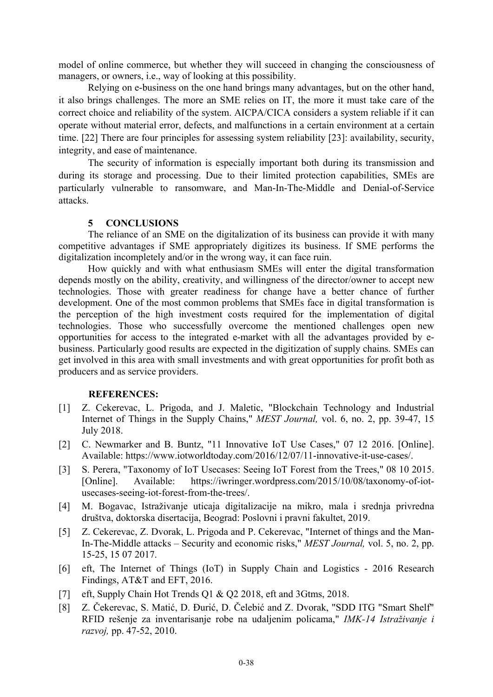model of online commerce, but whether they will succeed in changing the consciousness of managers, or owners, i.e., way of looking at this possibility.

Relying on e-business on the one hand brings many advantages, but on the other hand, it also brings challenges. The more an SME relies on IT, the more it must take care of the correct choice and reliability of the system. AICPA/CICA considers a system reliable if it can operate without material error, defects, and malfunctions in a certain environment at a certain time. [22] There are four principles for assessing system reliability [23]: availability, security, integrity, and ease of maintenance.

The security of information is especially important both during its transmission and during its storage and processing. Due to their limited protection capabilities, SMEs are particularly vulnerable to ransomware, and Man-In-The-Middle and Denial-of-Service attacks.

#### **5 CONCLUSIONS**

The reliance of an SME on the digitalization of its business can provide it with many competitive advantages if SME appropriately digitizes its business. If SME performs the digitalization incompletely and/or in the wrong way, it can face ruin.

How quickly and with what enthusiasm SMEs will enter the digital transformation depends mostly on the ability, creativity, and willingness of the director/owner to accept new technologies. Those with greater readiness for change have a better chance of further development. One of the most common problems that SMEs face in digital transformation is the perception of the high investment costs required for the implementation of digital technologies. Those who successfully overcome the mentioned challenges open new opportunities for access to the integrated e-market with all the advantages provided by ebusiness. Particularly good results are expected in the digitization of supply chains. SMEs can get involved in this area with small investments and with great opportunities for profit both as producers and as service providers.

#### **REFERENCES:**

- [1] Z. Cekerevac, L. Prigoda, and J. Maletic, "Blockchain Technology and Industrial Internet of Things in the Supply Chains," *MEST Journal,* vol. 6, no. 2, pp. 39-47, 15 July 2018.
- [2] C. Newmarker and B. Buntz, "11 Innovative IoT Use Cases," 07 12 2016. [Online]. Available: https://www.iotworldtoday.com/2016/12/07/11-innovative-it-use-cases/.
- [3] S. Perera, "Taxonomy of IoT Usecases: Seeing IoT Forest from the Trees," 08 10 2015. [Online]. Available: https://iwringer.wordpress.com/2015/10/08/taxonomy-of-iotusecases-seeing-iot-forest-from-the-trees/.
- [4] M. Bogavac, Istraživanje uticaja digitalizacije na mikro, mala i srednja privredna društva, doktorska disertacija, Beograd: Poslovni i pravni fakultet, 2019.
- [5] Z. Cekerevac, Z. Dvorak, L. Prigoda and P. Cekerevac, "Internet of things and the Man-In-The-Middle attacks – Security and economic risks," *MEST Journal,* vol. 5, no. 2, pp. 15-25, 15 07 2017.
- [6] eft, The Internet of Things (IoT) in Supply Chain and Logistics 2016 Research Findings, AT&T and EFT, 2016.
- [7] eft, Supply Chain Hot Trends O1 & O2 2018, eft and 3Gtms, 2018.
- [8] Z. Čekerevac, S. Matić, D. Đurić, D. Čelebić and Z. Dvorak, "SDD ITG "Smart Shelf" RFID rešenje za inventarisanje robe na udaljenim policama," *IMK-14 Istraživanje i razvoj,* pp. 47-52, 2010.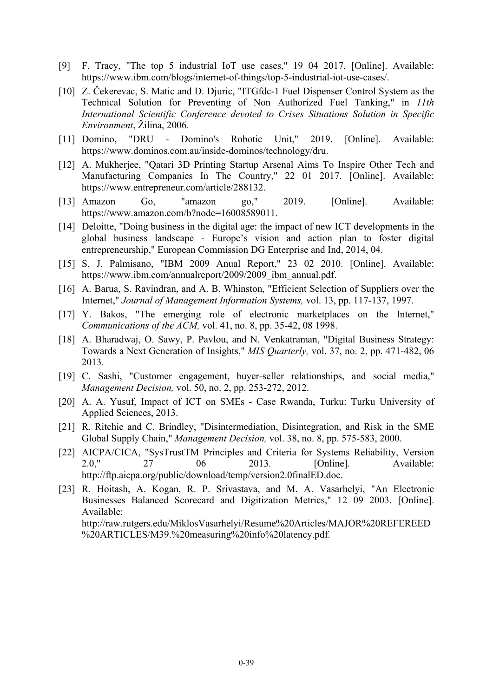- [9] F. Tracy, "The top 5 industrial IoT use cases," 19 04 2017. [Online]. Available: https://www.ibm.com/blogs/internet-of-things/top-5-industrial-iot-use-cases/.
- [10] Z. Čekerevac, S. Matic and D. Djuric, "ITGfdc-1 Fuel Dispenser Control System as the Technical Solution for Preventing of Non Authorized Fuel Tanking," in *11th International Scientific Conference devoted to Crises Situations Solution in Specific Environment*, Žilina, 2006.
- [11] Domino, "DRU Domino's Robotic Unit," 2019. [Online]. Available: https://www.dominos.com.au/inside-dominos/technology/dru.
- [12] A. Mukherjee, "Qatari 3D Printing Startup Arsenal Aims To Inspire Other Tech and Manufacturing Companies In The Country," 22 01 2017. [Online]. Available: https://www.entrepreneur.com/article/288132.
- [13] Amazon Go, "amazon go," 2019. [Online]. Available: https://www.amazon.com/b?node=16008589011.
- [14] Deloitte, "Doing business in the digital age: the impact of new ICT developments in the global business landscape - Europe's vision and action plan to foster digital entrepreneurship," European Commission DG Enterprise and Ind, 2014, 04.
- [15] S. J. Palmisano, "IBM 2009 Anual Report," 23 02 2010. [Online]. Available: https://www.ibm.com/annualreport/2009/2009\_ibm\_annual.pdf.
- [16] A. Barua, S. Ravindran, and A. B. Whinston, "Efficient Selection of Suppliers over the Internet," *Journal of Management Information Systems,* vol. 13, pp. 117-137, 1997.
- [17] Y. Bakos, "The emerging role of electronic marketplaces on the Internet," *Communications of the ACM,* vol. 41, no. 8, pp. 35-42, 08 1998.
- [18] A. Bharadwaj, O. Sawy, P. Pavlou, and N. Venkatraman, "Digital Business Strategy: Towards a Next Generation of Insights," *MIS Quarterly,* vol. 37, no. 2, pp. 471-482, 06 2013.
- [19] C. Sashi, "Customer engagement, buyer-seller relationships, and social media," *Management Decision,* vol. 50, no. 2, pp. 253-272, 2012.
- [20] A. A. Yusuf, Impact of ICT on SMEs Case Rwanda, Turku: Turku University of Applied Sciences, 2013.
- [21] R. Ritchie and C. Brindley, "Disintermediation, Disintegration, and Risk in the SME Global Supply Chain," *Management Decision,* vol. 38, no. 8, pp. 575-583, 2000.
- [22] AICPA/CICA, "SysTrustTM Principles and Criteria for Systems Reliability, Version 2.0," 27 06 2013. [Online]. Available: http://ftp.aicpa.org/public/download/temp/version2.0finalED.doc.
- [23] R. Hoitash, A. Kogan, R. P. Srivastava, and M. A. Vasarhelyi, "An Electronic Businesses Balanced Scorecard and Digitization Metrics," 12 09 2003. [Online]. Available:

http://raw.rutgers.edu/MiklosVasarhelyi/Resume%20Articles/MAJOR%20REFEREED %20ARTICLES/M39.%20measuring%20info%20latency.pdf.